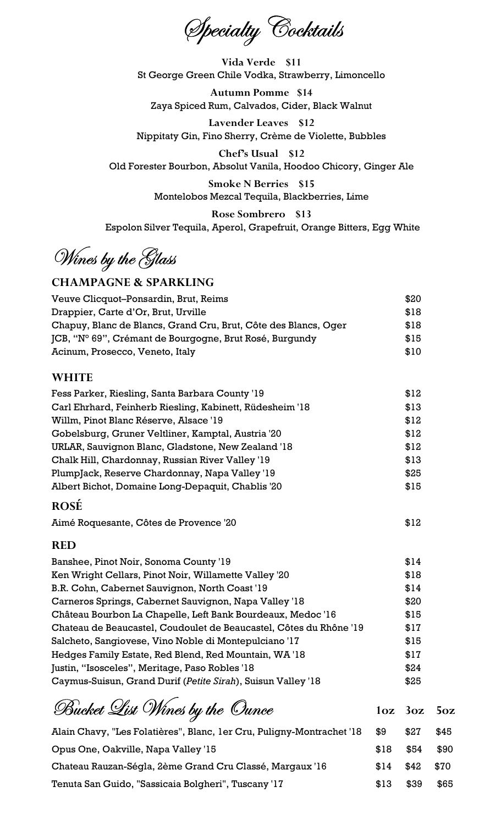Specialty Cocktails

Vida Verde \$11 St George Green Chile Vodka, Strawberry, Limoncello

Autumn Pomme \$14 Zaya Spiced Rum, Calvados, Cider, Black Walnut

Lavender Leaves \$12 Nippitaty Gin, Fino Sherry, Crème de Violette, Bubbles

Chef's Usual \$12 Old Forester Bourbon, Absolut Vanila, Hoodoo Chicory, Ginger Ale

> Smoke N Berries \$15 Montelobos Mezcal Tequila, Blackberries, Lime

Rose Sombrero \$13 Espolon Silver Tequila, Aperol, Grapefruit, Orange Bitters, Egg White

Wines by the Glass

# CHAMPAGNE & SPARKLING

| Veuve Clicquot-Ponsardin, Brut, Reims                           | \$20 |
|-----------------------------------------------------------------|------|
| Drappier, Carte d'Or, Brut, Urville                             | \$18 |
| Chapuy, Blanc de Blancs, Grand Cru, Brut, Côte des Blancs, Oger | \$18 |
| JCB, "N° 69", Crémant de Bourgogne, Brut Rosé, Burgundy         | \$15 |
| Acinum, Prosecco, Veneto, Italy                                 | \$10 |

#### WHITE

| Fess Parker, Riesling, Santa Barbara County '19          | \$12 |
|----------------------------------------------------------|------|
| Carl Ehrhard, Feinherb Riesling, Kabinett, Rüdesheim '18 | \$13 |
| Willm, Pinot Blanc Réserve, Alsace '19                   | \$12 |
| Gobelsburg, Gruner Veltliner, Kamptal, Austria '20       | \$12 |
| URLAR, Sauvignon Blanc, Gladstone, New Zealand '18       | \$12 |
| Chalk Hill, Chardonnay, Russian River Valley '19         | \$13 |
| PlumpJack, Reserve Chardonnay, Napa Valley '19           | \$25 |
| Albert Bichot, Domaine Long-Depaquit, Chablis '20        | \$15 |
|                                                          |      |

### ROSÉ

Aimé Roquesante, Côtes de Provence '20 **\$12** 

# RED

| Banshee, Pinot Noir, Sonoma County '19                             | \$14 |
|--------------------------------------------------------------------|------|
| Ken Wright Cellars, Pinot Noir, Willamette Valley '20              | \$18 |
| B.R. Cohn, Cabernet Sauvignon, North Coast '19                     | \$14 |
| Carneros Springs, Cabernet Sauvignon, Napa Valley '18              | \$20 |
| Château Bourbon La Chapelle, Left Bank Bourdeaux, Medoc '16        | \$15 |
| Chateau de Beaucastel, Coudoulet de Beaucastel, Côtes du Rhône '19 | \$17 |
| Salcheto, Sangiovese, Vino Noble di Montepulciano '17              | \$15 |
| Hedges Family Estate, Red Blend, Red Mountain, WA '18              | \$17 |
| Justin, "Isosceles", Meritage, Paso Robles '18                     | \$24 |
| Caymus-Suisun, Grand Durif (Petite Sirah), Suisun Valley '18       | \$25 |

Bucket List Wines by the Ounce 10z 3oz 5oz Alain Chavy, "Les Folatières", Blanc, 1er Cru, Puligny-Montrachet '18 \$9 \$27 \$45 Opus One, Oakville, Napa Valley '15 \$18 \$18 \$54 \$90 Chateau Rauzan-Ségla, 2ème Grand Cru Classé, Margaux '16 \$14 \$42 \$70 Tenuta San Guido, "Sassicaia Bolgheri", Tuscany '17  $$13$  \$39 \$65